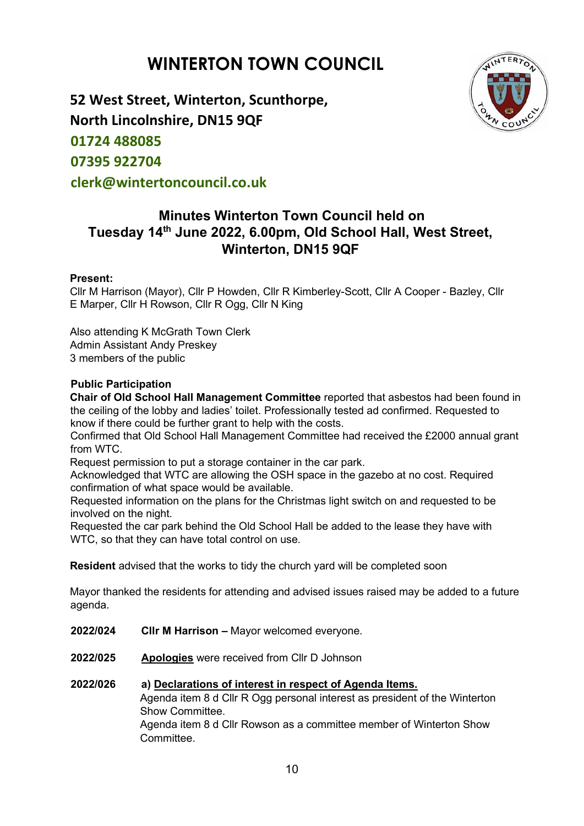# **WINTERTON TOWN COUNCIL**



**52 West Street, Winterton, Scunthorpe, North Lincolnshire, DN15 9QF 01724 488085 07395 922704 clerk@wintertoncouncil.co.uk** 

## **Minutes Winterton Town Council held on Tuesday 14th June 2022, 6.00pm, Old School Hall, West Street, Winterton, DN15 9QF**

## **Present:**

Cllr M Harrison (Mayor), Cllr P Howden, Cllr R Kimberley-Scott, Cllr A Cooper - Bazley, Cllr E Marper, Cllr H Rowson, Cllr R Ogg, Cllr N King

Also attending K McGrath Town Clerk Admin Assistant Andy Preskey 3 members of the public

## **Public Participation**

**Chair of Old School Hall Management Committee** reported that asbestos had been found in the ceiling of the lobby and ladies' toilet. Professionally tested ad confirmed. Requested to know if there could be further grant to help with the costs.

Confirmed that Old School Hall Management Committee had received the £2000 annual grant from WTC.

Request permission to put a storage container in the car park.

Acknowledged that WTC are allowing the OSH space in the gazebo at no cost. Required confirmation of what space would be available.

Requested information on the plans for the Christmas light switch on and requested to be involved on the night.

Requested the car park behind the Old School Hall be added to the lease they have with WTC, so that they can have total control on use.

**Resident** advised that the works to tidy the church yard will be completed soon

Mayor thanked the residents for attending and advised issues raised may be added to a future agenda.

- **2022/024 Cllr M Harrison –** Mayor welcomed everyone.
- **2022/025 Apologies** were received from Cllr D Johnson
- **2022/026 a) Declarations of interest in respect of Agenda Items.** Agenda item 8 d Cllr R Ogg personal interest as president of the Winterton Show Committee. Agenda item 8 d Cllr Rowson as a committee member of Winterton Show Committee.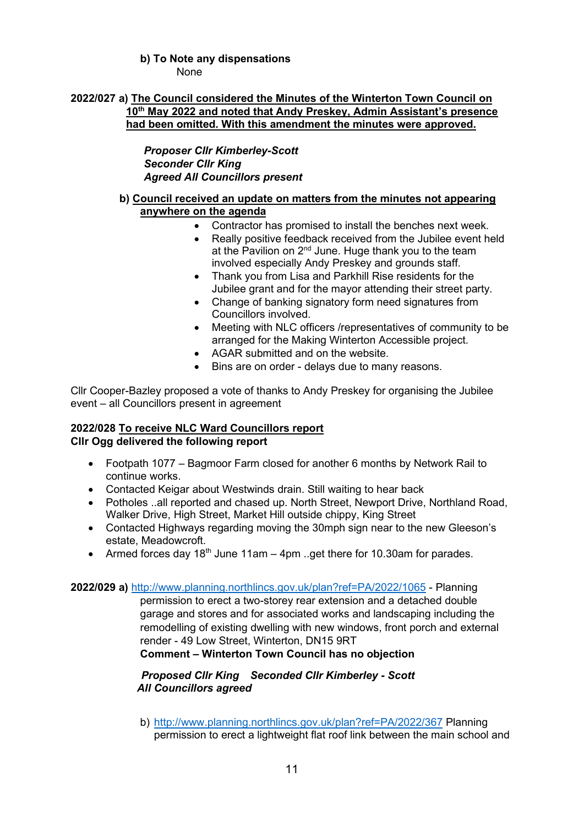## **b) To Note any dispensations**

None

## **2022/027 a) The Council considered the Minutes of the Winterton Town Council on 10th May 2022 and noted that Andy Preskey, Admin Assistant's presence had been omitted. With this amendment the minutes were approved.**

*Proposer Cllr Kimberley-Scott Seconder Cllr King Agreed All Councillors present*

## **b) Council received an update on matters from the minutes not appearing anywhere on the agenda**

- Contractor has promised to install the benches next week.
- Really positive feedback received from the Jubilee event held at the Pavilion on  $2<sup>nd</sup>$  June. Huge thank you to the team involved especially Andy Preskey and grounds staff.
- Thank you from Lisa and Parkhill Rise residents for the Jubilee grant and for the mayor attending their street party.
- Change of banking signatory form need signatures from Councillors involved.
- Meeting with NLC officers /representatives of community to be arranged for the Making Winterton Accessible project.
- AGAR submitted and on the website.
- Bins are on order delays due to many reasons.

Cllr Cooper-Bazley proposed a vote of thanks to Andy Preskey for organising the Jubilee event – all Councillors present in agreement

## **2022/028 To receive NLC Ward Councillors report Cllr Ogg delivered the following report**

- Footpath 1077 Bagmoor Farm closed for another 6 months by Network Rail to continue works.
- Contacted Keigar about Westwinds drain. Still waiting to hear back
- Potholes ..all reported and chased up. North Street, Newport Drive, Northland Road, Walker Drive, High Street, Market Hill outside chippy, King Street
- Contacted Highways regarding moving the 30mph sign near to the new Gleeson's estate, Meadowcroft.
- Armed forces day 18<sup>th</sup> June 11am 4pm ..get there for 10.30am for parades.

**2022/029 a)** <http://www.planning.northlincs.gov.uk/plan?ref=PA/2022/1065> - Planning

permission to erect a two-storey rear extension and a detached double garage and stores and for associated works and landscaping including the remodelling of existing dwelling with new windows, front porch and external render - 49 Low Street, Winterton, DN15 9RT **Comment – Winterton Town Council has no objection**

*Proposed Cllr King Seconded Cllr Kimberley - Scott*

*All Councillors agreed*

b) <http://www.planning.northlincs.gov.uk/plan?ref=PA/2022/367> Planning permission to erect a lightweight flat roof link between the main school and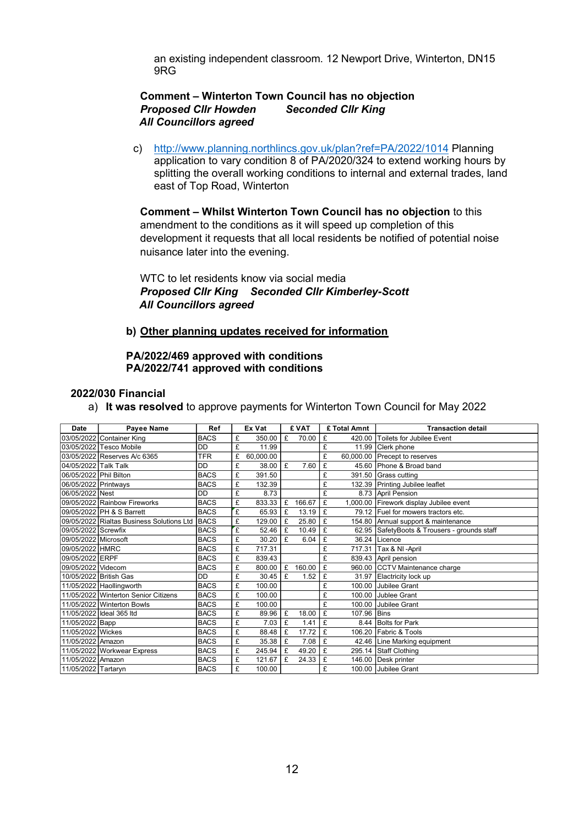an existing independent classroom. 12 Newport Drive, Winterton, DN15 9RG

#### **Comment – Winterton Town Council has no objection** *Proposed Cllr Howden Seconded Cllr King All Councillors agreed*

c) <http://www.planning.northlincs.gov.uk/plan?ref=PA/2022/1014> Planning application to vary condition 8 of PA/2020/324 to extend working hours by splitting the overall working conditions to internal and external trades, land east of Top Road, Winterton

**Comment – Whilst Winterton Town Council has no objection** to this amendment to the conditions as it will speed up completion of this development it requests that all local residents be notified of potential noise nuisance later into the evening.

WTC to let residents know via social media *Proposed Cllr King Seconded Cllr Kimberley-Scott All Councillors agreed*

#### **b) Other planning updates received for information**

#### **PA/2022/469 approved with conditions PA/2022/741 approved with conditions**

#### **2022/030 Financial**

a) **It was resolved** to approve payments for Winterton Town Council for May 2022

| Date                   | <b>Pavee Name</b>                         | Ref         | Ex Vat |           | £ VAT |        |   | £ Total Amnt | <b>Transaction detail</b>                    |  |
|------------------------|-------------------------------------------|-------------|--------|-----------|-------|--------|---|--------------|----------------------------------------------|--|
|                        | 03/05/2022 Container King                 | <b>BACS</b> | £      | 350.00    | £     | 70.00  | £ |              | 420.00 Toilets for Jubilee Event             |  |
|                        | 03/05/2022 Tesco Mobile                   | DD          | £      | 11.99     |       |        | £ |              | 11.99 Clerk phone                            |  |
|                        | 03/05/2022 Reserves A/c 6365              | <b>TFR</b>  | £      | 60.000.00 |       |        | £ |              | 60,000.00 Precept to reserves                |  |
| 04/05/2022 Talk Talk   |                                           | DD          | £      | 38.00     | £     | 7.60   | £ |              | 45.60 Phone & Broad band                     |  |
| 06/05/2022 Phil Bilton |                                           | <b>BACS</b> | £      | 391.50    |       |        | £ |              | 391.50 Grass cutting                         |  |
| 06/05/2022 Printways   |                                           | <b>BACS</b> | £      | 132.39    |       |        | £ |              | 132.39 Printing Jubilee leaflet              |  |
| 06/05/2022 Nest        |                                           | DD          | £      | 8.73      |       |        | £ |              | 8.73 April Pension                           |  |
|                        | 09/05/2022 Rainbow Fireworks              | <b>BACS</b> | £      | 833.33    | £     | 166.67 | £ |              | 1,000.00 Firework display Jubilee event      |  |
|                        | 09/05/2022 PH & S Barrett                 | <b>BACS</b> | £      | 65.93     | £     | 13.19  | £ |              | 79.12 Fuel for mowers tractors etc.          |  |
|                        | 09/05/2022 Rialtas Business Solutions Ltd | <b>BACS</b> | £      | 129.00    | £     | 25.80  | £ |              | 154.80 Annual support & maintenance          |  |
| 09/05/2022 Screwfix    |                                           | <b>BACS</b> | £      | 52.46     | £     | 10.49  | £ |              | 62.95 SafetyBoots & Trousers - grounds staff |  |
| 09/05/2022 Microsoft   |                                           | <b>BACS</b> | £      | 30.20     | £     | 6.04   | £ |              | 36.24 Licence                                |  |
| 09/05/2022 HMRC        |                                           | <b>BACS</b> | £      | 717.31    |       |        | £ |              | 717.31 Tax & NI - April                      |  |
| 09/05/2022 ERPF        |                                           | <b>BACS</b> | £      | 839.43    |       |        | £ |              | 839.43 April pension                         |  |
| 09/05/2022 Videcom     |                                           | <b>BACS</b> | £      | 800.00    | £     | 160.00 | £ |              | 960.00 CCTV Maintenance charge               |  |
| 10/05/2022 British Gas |                                           | <b>DD</b>   | £      | 30.45     | £     | 1.52   | £ |              | 31.97 Elactricity lock up                    |  |
|                        | 11/05/2022 Haollingworth                  | <b>BACS</b> | £      | 100.00    |       |        | £ |              | 100.00 Jubilee Grant                         |  |
|                        | 11/05/2022 Winterton Senior Citizens      | <b>BACS</b> | £      | 100.00    |       |        | £ |              | 100.00 Jublee Grant                          |  |
|                        | 11/05/2022 Winterton Bowls                | <b>BACS</b> | £      | 100.00    |       |        | £ |              | 100.00 Jubilee Grant                         |  |
|                        | 11/05/2022 Ideal 365 Itd                  | <b>BACS</b> | £      | 89.96     | £     | 18.00  | £ | 107.96       | <b>Bins</b>                                  |  |
| 11/05/2022 Bapp        |                                           | <b>BACS</b> | £      | 7.03      | £     | 1.41   | £ | 8.44         | <b>Bolts for Park</b>                        |  |
| 11/05/2022 Wickes      |                                           | <b>BACS</b> | £      | 88.48     | £     | 17.72  | £ |              | 106.20 Fabric & Tools                        |  |
| 11/05/2022 Amazon      |                                           | <b>BACS</b> | £      | 35.38     | £     | 7.08   | £ |              | 42.46 Line Marking equipment                 |  |
|                        | 11/05/2022 Workwear Express               | <b>BACS</b> | £      | 245.94    | £     | 49.20  | £ |              | 295.14 Staff Clothing                        |  |
| 11/05/2022 Amazon      |                                           | <b>BACS</b> | £      | 121.67    | £     | 24.33  | £ |              | 146.00 Desk printer                          |  |
| 11/05/2022 Tartaryn    |                                           | <b>BACS</b> | £      | 100.00    |       |        | £ |              | 100.00 Jubilee Grant                         |  |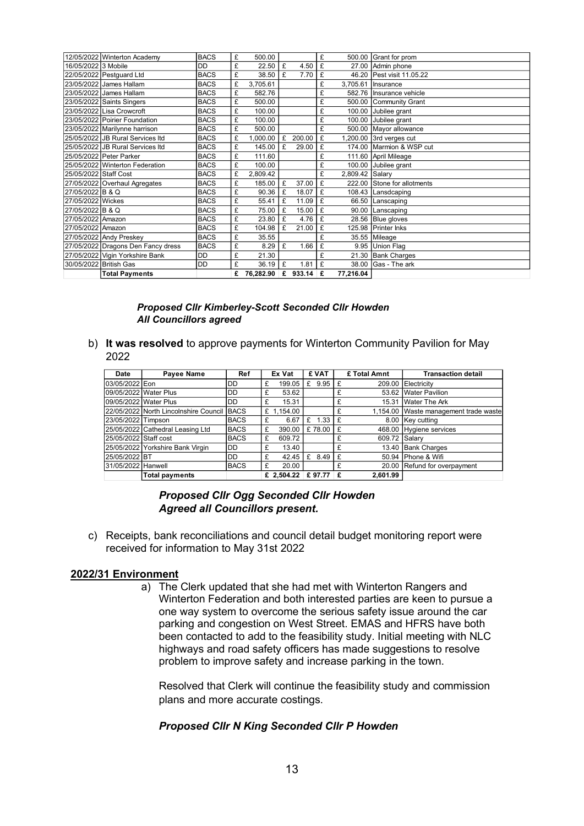|                       | 12/05/2022 Winterton Academy       | <b>BACS</b> | £ | 500.00    |   |        | £ |                 | 500.00 Grant for prom       |
|-----------------------|------------------------------------|-------------|---|-----------|---|--------|---|-----------------|-----------------------------|
| 16/05/2022 3 Mobile   |                                    | <b>DD</b>   | £ | 22.50     | £ | 4.50   | £ |                 | 27.00 Admin phone           |
|                       | 22/05/2022 Pestguard Ltd           | <b>BACS</b> | £ | 38.50     | £ | 7.70   | £ |                 | 46.20 Pest visit 11.05.22   |
|                       | 23/05/2022 James Hallam            | <b>BACS</b> | £ | 3,705.61  |   |        | £ |                 | 3,705.61 Insurance          |
|                       | 23/05/2022 James Hallam            | <b>BACS</b> | £ | 582.76    |   |        | £ |                 | 582.76 Insurance vehicle    |
|                       | 23/05/2022 Saints Singers          | <b>BACS</b> | £ | 500.00    |   |        | £ |                 | 500.00 Community Grant      |
|                       | 23/05/2022 Lisa Crowcroft          | <b>BACS</b> | £ | 100.00    |   |        | £ |                 | 100.00 Jubilee grant        |
|                       | 23/05/2022 Poirier Foundation      | <b>BACS</b> | £ | 100.00    |   |        | £ |                 | 100.00 Jubilee grant        |
|                       | 23/05/2022 Marilynne harrison      | <b>BACS</b> | £ | 500.00    |   |        | £ |                 | 500.00 Mayor allowance      |
|                       | 25/05/2022 JB Rural Services Itd   | <b>BACS</b> | £ | 1,000.00  | £ | 200.00 | £ |                 | ,200.00 3rd verges cut      |
|                       | 25/05/2022 JB Rural Services Itd   | <b>BACS</b> | £ | 145.00    | £ | 29.00  | £ |                 | 174.00 Marmion & WSP cut    |
|                       | 25/05/2022 Peter Parker            | <b>BACS</b> | £ | 111.60    |   |        | £ |                 | 111.60 April Mileage        |
|                       | 25/05/2022 Winterton Federation    | <b>BACS</b> | £ | 100.00    |   |        | £ |                 | 100.00 Jubilee grant        |
| 25/05/2022 Staff Cost |                                    | <b>BACS</b> | £ | 2,809.42  |   |        | £ | 2,809.42 Salary |                             |
|                       | 27/05/2022 Overhaul Agregates      | <b>BACS</b> | £ | 185.00    | £ | 37.00  | £ |                 | 222.00 Stone for allotments |
| 27/05/2022 B & Q      |                                    | <b>BACS</b> | £ | 90.36     | £ | 18.07  | £ |                 | 108.43 Lansdcaping          |
| 27/05/2022 Wickes     |                                    | <b>BACS</b> | £ | 55.41     | £ | 11.09  | £ |                 | 66.50 Lanscaping            |
| 27/05/2022 B & Q      |                                    | <b>BACS</b> | £ | 75.00     | £ | 15.00  | £ |                 | 90.00 Lanscaping            |
| 27/05/2022 Amazon     |                                    | <b>BACS</b> | £ | 23.80     | £ | 4.76   | £ |                 | 28.56 Blue gloves           |
| 27/05/2022 Amazon     |                                    | <b>BACS</b> | £ | 104.98    | £ | 21.00  | £ |                 | 125.98 Printer Inks         |
|                       | 27/05/2022 Andy Preskey            | <b>BACS</b> | £ | 35.55     |   |        | £ |                 | 35.55 Mileage               |
|                       | 27/05/2022 Dragons Den Fancy dress | <b>BACS</b> | £ | 8.29      | £ | 1.66   | £ |                 | 9.95 Union Flag             |
|                       | 27/05/2022 Vigin Yorkshire Bank    | <b>DD</b>   | £ | 21.30     |   |        | £ |                 | 21.30 Bank Charges          |
|                       | 30/05/2022 British Gas             | DD          | £ | 36.19     | £ | 1.81   | £ |                 | $38.00$ Gas - The ark       |
|                       | <b>Total Payments</b>              |             |   | 76,282.90 | £ | 933.14 | £ | 77,216.04       |                             |

#### *Proposed Cllr Kimberley-Scott Seconded Cllr Howden All Councillors agreed*

b) **It was resolved** to approve payments for Winterton Community Pavilion for May 2022

| Date                  | Payee Name                                 | Ref         |   | Ex Vat     |   | £ VAT  |   | £ Total Amnt  | <b>Transaction detail</b>             |
|-----------------------|--------------------------------------------|-------------|---|------------|---|--------|---|---------------|---------------------------------------|
| 03/05/2022 Eon        |                                            | DD.         | £ | 199.05     | £ | 9.95   | £ |               | 209.00 Electricity                    |
|                       | 09/05/2022 Water Plus                      | DD.         | £ | 53.62      |   |        | £ |               | 53.62 Water Pavilion                  |
|                       | 09/05/2022 Water Plus                      | DD          | £ | 15.31      |   |        | £ |               | 15.31 Water The Ark                   |
|                       | 22/05/2022 North Lincolnshire Council BACS |             |   | £ 1,154.00 |   |        | £ |               | 1,154.00 Waste management trade waste |
| 23/05/2022 Timpson    |                                            | <b>BACS</b> | £ | 6.67       | £ | 1.33   | £ |               | 8.00 Key cutting                      |
|                       | 25/05/2022 Cathedral Leasing Ltd           | <b>BACS</b> | £ | 390.00     |   | £78.00 | £ |               | 468.00 Hygiene services               |
| 25/05/2022 Staff cost |                                            | <b>BACS</b> | £ | 609.72     |   |        |   | 609.72 Salary |                                       |
|                       | 25/05/2022 Yorkshire Bank Virgin           | <b>DD</b>   | £ | 13.40      |   |        | £ |               | 13.40 Bank Charges                    |
| 25/05/2022 BT         |                                            | DD.         | £ | 42.45      |   | £ 8.49 | £ |               | 50.94 Phone & Wifi                    |
| 31/05/2022 Hanwell    |                                            | <b>BACS</b> | £ | 20.00      |   |        | £ |               | 20.00 Refund for overpayment          |
|                       | <b>Total payments</b>                      |             |   | £ 2.504.22 |   | £97.77 | £ | 2.601.99      |                                       |

#### *Proposed Cllr Ogg Seconded Cllr Howden Agreed all Councillors present.*

c) Receipts, bank reconciliations and council detail budget monitoring report were received for information to May 31st 2022

#### **2022/31 Environment**

a) The Clerk updated that she had met with Winterton Rangers and Winterton Federation and both interested parties are keen to pursue a one way system to overcome the serious safety issue around the car parking and congestion on West Street. EMAS and HFRS have both been contacted to add to the feasibility study. Initial meeting with NLC highways and road safety officers has made suggestions to resolve problem to improve safety and increase parking in the town.

Resolved that Clerk will continue the feasibility study and commission plans and more accurate costings.

#### *Proposed Cllr N King Seconded Cllr P Howden*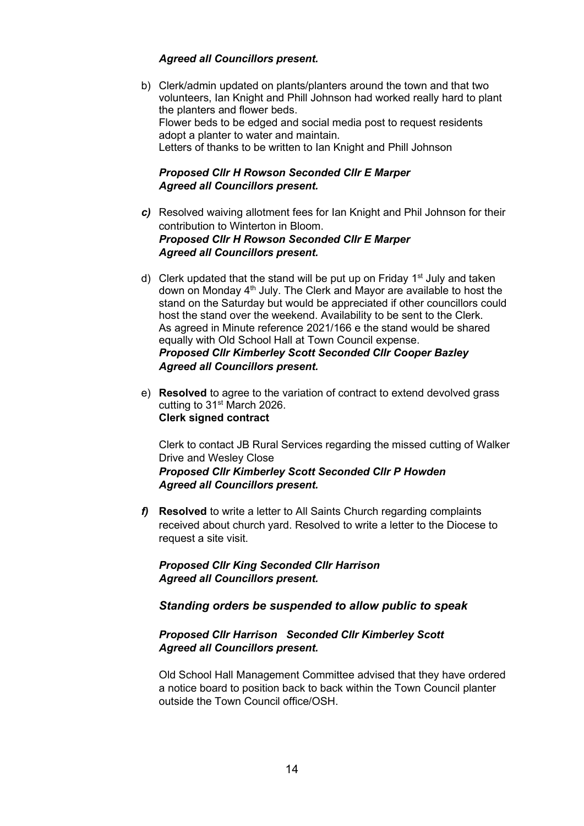## *Agreed all Councillors present.*

b) Clerk/admin updated on plants/planters around the town and that two volunteers, Ian Knight and Phill Johnson had worked really hard to plant the planters and flower beds. Flower beds to be edged and social media post to request residents adopt a planter to water and maintain. Letters of thanks to be written to Ian Knight and Phill Johnson

## *Proposed Cllr H Rowson Seconded Cllr E Marper Agreed all Councillors present.*

- *c)* Resolved waiving allotment fees for Ian Knight and Phil Johnson for their contribution to Winterton in Bloom. *Proposed Cllr H Rowson Seconded Cllr E Marper Agreed all Councillors present.*
- d) Clerk updated that the stand will be put up on Friday  $1<sup>st</sup>$  July and taken down on Monday 4<sup>th</sup> July. The Clerk and Mayor are available to host the stand on the Saturday but would be appreciated if other councillors could host the stand over the weekend. Availability to be sent to the Clerk. As agreed in Minute reference 2021/166 e the stand would be shared equally with Old School Hall at Town Council expense. *Proposed Cllr Kimberley Scott Seconded Cllr Cooper Bazley Agreed all Councillors present.*
- e) **Resolved** to agree to the variation of contract to extend devolved grass cutting to 31<sup>st</sup> March 2026. **Clerk signed contract**

Clerk to contact JB Rural Services regarding the missed cutting of Walker Drive and Wesley Close *Proposed Cllr Kimberley Scott Seconded Cllr P Howden Agreed all Councillors present.*

*f)* **Resolved** to write a letter to All Saints Church regarding complaints received about church yard. Resolved to write a letter to the Diocese to request a site visit.

*Proposed Cllr King Seconded Cllr Harrison Agreed all Councillors present.*

*Standing orders be suspended to allow public to speak*

## *Proposed Cllr Harrison Seconded Cllr Kimberley Scott Agreed all Councillors present.*

Old School Hall Management Committee advised that they have ordered a notice board to position back to back within the Town Council planter outside the Town Council office/OSH.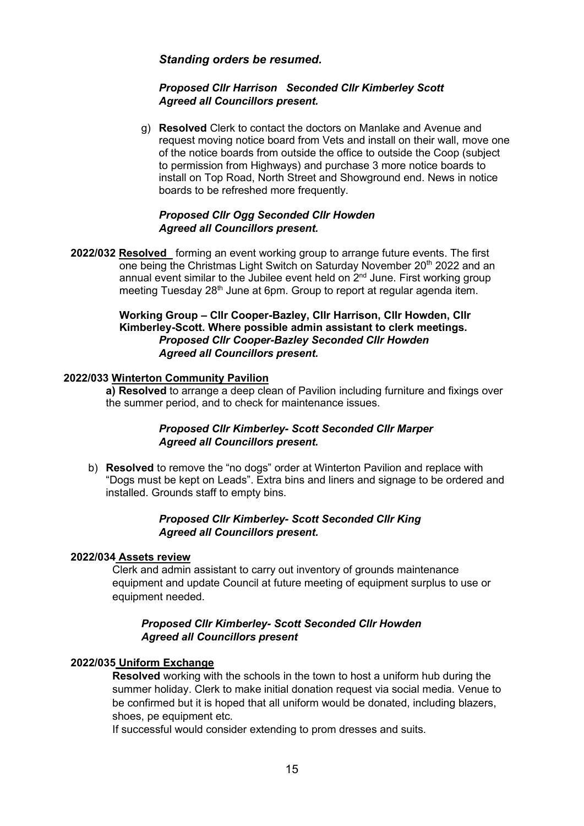## *Standing orders be resumed.*

#### *Proposed Cllr Harrison Seconded Cllr Kimberley Scott Agreed all Councillors present.*

g) **Resolved** Clerk to contact the doctors on Manlake and Avenue and request moving notice board from Vets and install on their wall, move one of the notice boards from outside the office to outside the Coop (subject to permission from Highways) and purchase 3 more notice boards to install on Top Road, North Street and Showground end. News in notice boards to be refreshed more frequently.

## *Proposed Cllr Ogg Seconded Cllr Howden Agreed all Councillors present.*

**2022/032 Resolved** forming an event working group to arrange future events. The first one being the Christmas Light Switch on Saturday November 20<sup>th</sup> 2022 and an annual event similar to the Jubilee event held on  $2<sup>nd</sup>$  June. First working group meeting Tuesday 28<sup>th</sup> June at 6pm. Group to report at regular agenda item.

## **Working Group – Cllr Cooper-Bazley, Cllr Harrison, Cllr Howden, Cllr Kimberley-Scott. Where possible admin assistant to clerk meetings.**  *Proposed Cllr Cooper-Bazley Seconded Cllr Howden Agreed all Councillors present.*

#### **2022/033 Winterton Community Pavilion**

**a) Resolved** to arrange a deep clean of Pavilion including furniture and fixings over the summer period, and to check for maintenance issues.

#### *Proposed Cllr Kimberley- Scott Seconded Cllr Marper Agreed all Councillors present.*

b) **Resolved** to remove the "no dogs" order at Winterton Pavilion and replace with "Dogs must be kept on Leads". Extra bins and liners and signage to be ordered and installed. Grounds staff to empty bins.

#### *Proposed Cllr Kimberley- Scott Seconded Cllr King Agreed all Councillors present.*

#### **2022/034 Assets review**

Clerk and admin assistant to carry out inventory of grounds maintenance equipment and update Council at future meeting of equipment surplus to use or equipment needed.

#### *Proposed Cllr Kimberley- Scott Seconded Cllr Howden Agreed all Councillors present*

#### **2022/035 Uniform Exchange**

**Resolved** working with the schools in the town to host a uniform hub during the summer holiday. Clerk to make initial donation request via social media. Venue to be confirmed but it is hoped that all uniform would be donated, including blazers, shoes, pe equipment etc.

If successful would consider extending to prom dresses and suits.